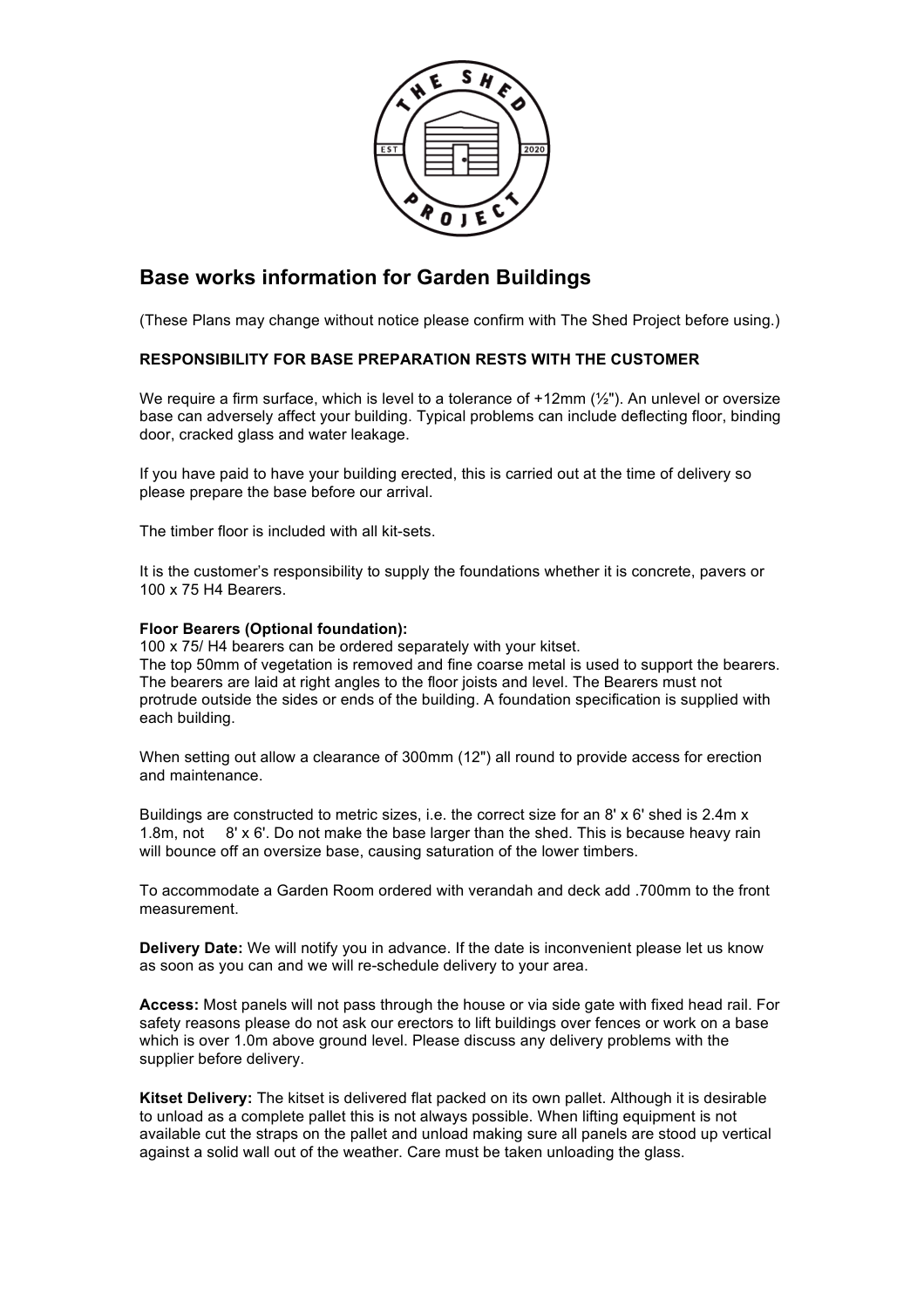

## **Base works information for Garden Buildings**

(These Plans may change without notice please confirm with The Shed Project before using.)

## **RESPONSIBILITY FOR BASE PREPARATION RESTS WITH THE CUSTOMER**

We require a firm surface, which is level to a tolerance of  $+12$ mm ( $\frac{1}{2}$ "). An unlevel or oversize base can adversely affect your building. Typical problems can include deflecting floor, binding door, cracked glass and water leakage.

If you have paid to have your building erected, this is carried out at the time of delivery so please prepare the base before our arrival.

The timber floor is included with all kit-sets.

It is the customer's responsibility to supply the foundations whether it is concrete, pavers or 100 x 75 H4 Bearers.

## **Floor Bearers (Optional foundation):**

100 x 75/ H4 bearers can be ordered separately with your kitset.

The top 50mm of vegetation is removed and fine coarse metal is used to support the bearers. The bearers are laid at right angles to the floor joists and level. The Bearers must not protrude outside the sides or ends of the building. A foundation specification is supplied with each building.

When setting out allow a clearance of 300mm (12") all round to provide access for erection and maintenance.

Buildings are constructed to metric sizes, i.e. the correct size for an 8' x 6' shed is 2.4m x 1.8m, not 8' x 6'. Do not make the base larger than the shed. This is because heavy rain will bounce off an oversize base, causing saturation of the lower timbers.

To accommodate a Garden Room ordered with verandah and deck add .700mm to the front measurement.

**Delivery Date:** We will notify you in advance. If the date is inconvenient please let us know as soon as you can and we will re-schedule delivery to your area.

**Access:** Most panels will not pass through the house or via side gate with fixed head rail. For safety reasons please do not ask our erectors to lift buildings over fences or work on a base which is over 1.0m above ground level. Please discuss any delivery problems with the supplier before delivery.

**Kitset Delivery:** The kitset is delivered flat packed on its own pallet. Although it is desirable to unload as a complete pallet this is not always possible. When lifting equipment is not available cut the straps on the pallet and unload making sure all panels are stood up vertical against a solid wall out of the weather. Care must be taken unloading the glass.